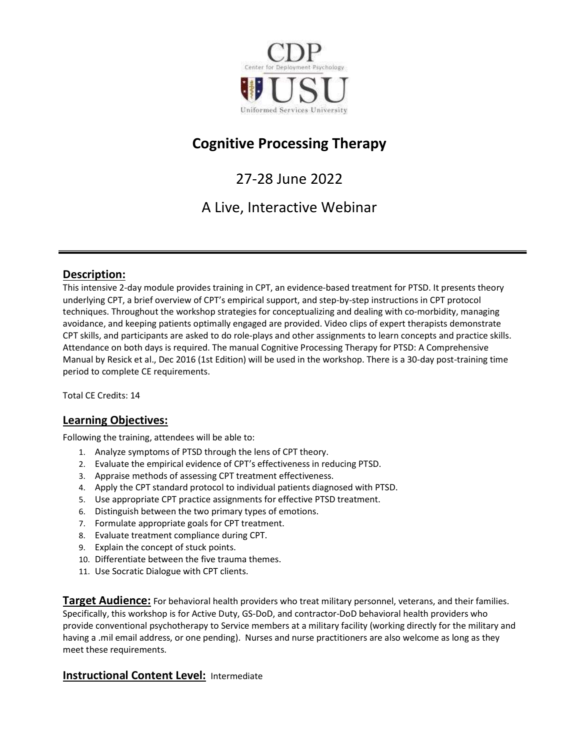

# Cognitive Processing Therapy

27-28 June 2022

A Live, Interactive Webinar

# Description:

This intensive 2-day module provides training in CPT, an evidence-based treatment for PTSD. It presents theory underlying CPT, a brief overview of CPT's empirical support, and step-by-step instructions in CPT protocol techniques. Throughout the workshop strategies for conceptualizing and dealing with co-morbidity, managing avoidance, and keeping patients optimally engaged are provided. Video clips of expert therapists demonstrate CPT skills, and participants are asked to do role-plays and other assignments to learn concepts and practice skills. Attendance on both days is required. The manual Cognitive Processing Therapy for PTSD: A Comprehensive Manual by Resick et al., Dec 2016 (1st Edition) will be used in the workshop. There is a 30-day post-training time period to complete CE requirements.

Total CE Credits: 14

# Learning Objectives:

Following the training, attendees will be able to:

- 1. Analyze symptoms of PTSD through the lens of CPT theory.
- 2. Evaluate the empirical evidence of CPT's effectiveness in reducing PTSD.
- 3. Appraise methods of assessing CPT treatment effectiveness.
- 4. Apply the CPT standard protocol to individual patients diagnosed with PTSD.
- 5. Use appropriate CPT practice assignments for effective PTSD treatment.
- 6. Distinguish between the two primary types of emotions.
- 7. Formulate appropriate goals for CPT treatment.
- 8. Evaluate treatment compliance during CPT.
- 9. Explain the concept of stuck points.
- 10. Differentiate between the five trauma themes.
- 11. Use Socratic Dialogue with CPT clients.

**Target Audience:** For behavioral health providers who treat military personnel, veterans, and their families. Specifically, this workshop is for Active Duty, GS-DoD, and contractor-DoD behavioral health providers who provide conventional psychotherapy to Service members at a military facility (working directly for the military and having a .mil email address, or one pending). Nurses and nurse practitioners are also welcome as long as they meet these requirements.

# **Instructional Content Level: Intermediate**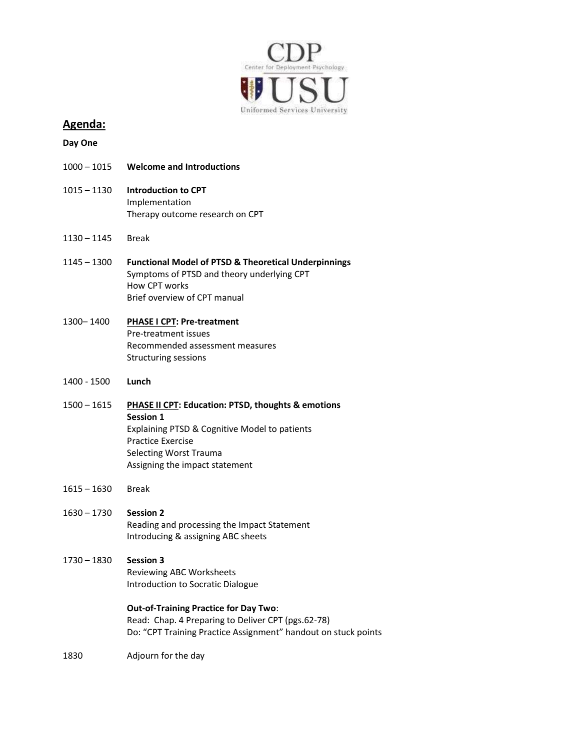

# Agenda:

Day One

- 1000 1015 Welcome and Introductions
- 1015 1130 Introduction to CPT Implementation Therapy outcome research on CPT
- 1130 1145 Break
- 1145 1300 Functional Model of PTSD & Theoretical Underpinnings Symptoms of PTSD and theory underlying CPT How CPT works Brief overview of CPT manual

## 1300– 1400 PHASE I CPT: Pre-treatment Pre-treatment issues Recommended assessment measures Structuring sessions

- 1400 1500 Lunch
- 1500 1615 PHASE II CPT: Education: PTSD, thoughts & emotions Session 1 Explaining PTSD & Cognitive Model to patients Practice Exercise Selecting Worst Trauma Assigning the impact statement
- 1615 1630 Break
- 1630 1730 Session 2 Reading and processing the Impact Statement Introducing & assigning ABC sheets
- 1730 1830 Session 3 Reviewing ABC Worksheets Introduction to Socratic Dialogue

Out-of-Training Practice for Day Two: Read: Chap. 4 Preparing to Deliver CPT (pgs.62-78) Do: "CPT Training Practice Assignment" handout on stuck points

1830 Adjourn for the day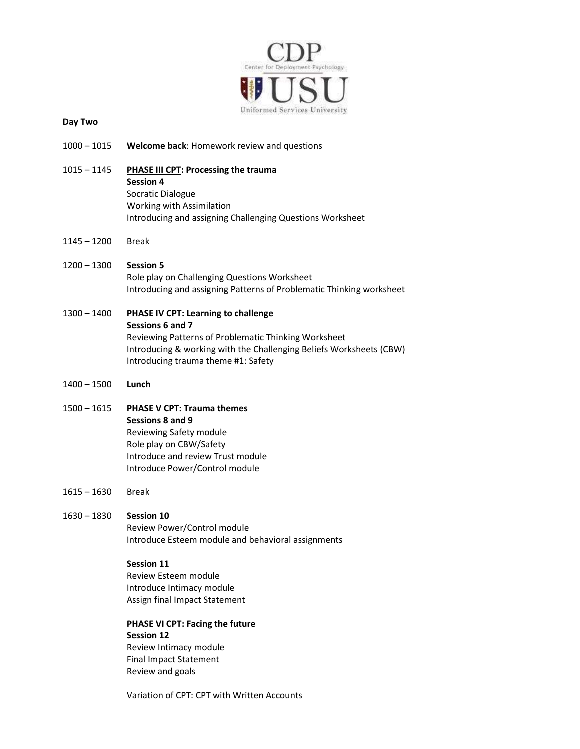

#### Day Two

- 1000 1015 Welcome back: Homework review and questions
- 1015 1145 PHASE III CPT: Processing the trauma Session 4 Socratic Dialogue Working with Assimilation Introducing and assigning Challenging Questions Worksheet
- 1145 1200 Break
- 1200 1300 Session 5 Role play on Challenging Questions Worksheet Introducing and assigning Patterns of Problematic Thinking worksheet
- 1300 1400 PHASE IV CPT: Learning to challenge Sessions 6 and 7 Reviewing Patterns of Problematic Thinking Worksheet Introducing & working with the Challenging Beliefs Worksheets (CBW) Introducing trauma theme #1: Safety
- 1400 1500 Lunch
- 1500 1615 PHASE V CPT: Trauma themes Sessions 8 and 9 Reviewing Safety module Role play on CBW/Safety Introduce and review Trust module Introduce Power/Control module
- 1615 1630 Break
- 1630 1830 Session 10

Review Power/Control module Introduce Esteem module and behavioral assignments

#### Session 11

Review Esteem module Introduce Intimacy module Assign final Impact Statement

#### PHASE VI CPT: Facing the future Session 12 Review Intimacy module Final Impact Statement Review and goals

Variation of CPT: CPT with Written Accounts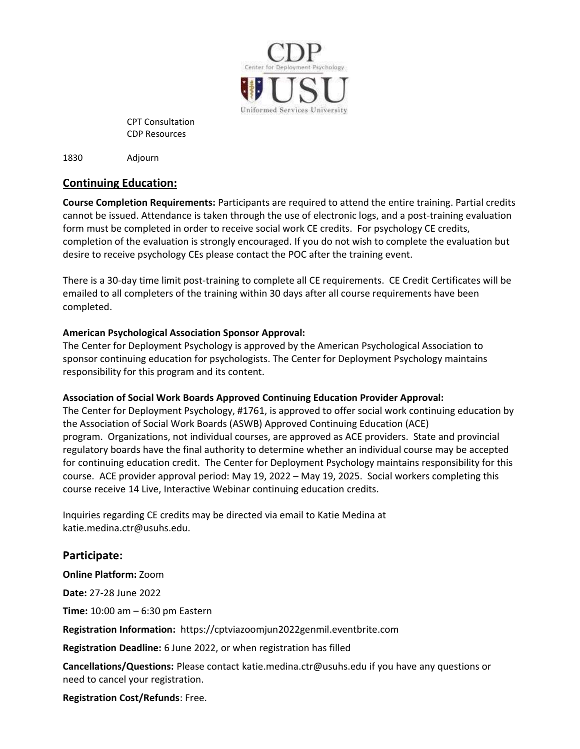

CPT Consultation CDP Resources

1830 Adjourn

# Continuing Education:

Course Completion Requirements: Participants are required to attend the entire training. Partial credits cannot be issued. Attendance is taken through the use of electronic logs, and a post-training evaluation form must be completed in order to receive social work CE credits. For psychology CE credits, completion of the evaluation is strongly encouraged. If you do not wish to complete the evaluation but desire to receive psychology CEs please contact the POC after the training event.

There is a 30-day time limit post-training to complete all CE requirements. CE Credit Certificates will be emailed to all completers of the training within 30 days after all course requirements have been completed.

# American Psychological Association Sponsor Approval:

The Center for Deployment Psychology is approved by the American Psychological Association to sponsor continuing education for psychologists. The Center for Deployment Psychology maintains responsibility for this program and its content.

# Association of Social Work Boards Approved Continuing Education Provider Approval:

The Center for Deployment Psychology, #1761, is approved to offer social work continuing education by the Association of Social Work Boards (ASWB) Approved Continuing Education (ACE) program. Organizations, not individual courses, are approved as ACE providers. State and provincial regulatory boards have the final authority to determine whether an individual course may be accepted for continuing education credit. The Center for Deployment Psychology maintains responsibility for this course. ACE provider approval period: May 19, 2022 – May 19, 2025. Social workers completing this course receive 14 Live, Interactive Webinar continuing education credits.

Inquiries regarding CE credits may be directed via email to Katie Medina at katie.medina.ctr@usuhs.edu.

# Participate:

Online Platform: Zoom

Date: 27-28 June 2022

Time: 10:00 am – 6:30 pm Eastern

Registration Information: https://cptviazoomjun2022genmil.eventbrite.com

Registration Deadline: 6 June 2022, or when registration has filled

Cancellations/Questions: Please contact katie.medina.ctr@usuhs.edu if you have any questions or need to cancel your registration.

Registration Cost/Refunds: Free.